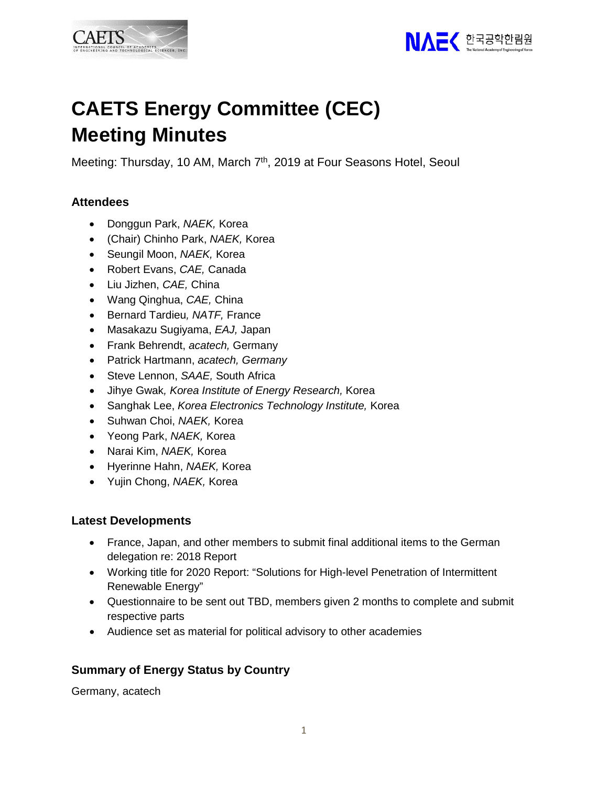



# **CAETS Energy Committee (CEC) Meeting Minutes**

Meeting: Thursday, 10 AM, March 7<sup>th</sup>, 2019 at Four Seasons Hotel, Seoul

#### **Attendees**

- Donggun Park, *NAEK,* Korea
- (Chair) Chinho Park, *NAEK,* Korea
- Seungil Moon, *NAEK,* Korea
- Robert Evans, *CAE,* Canada
- Liu Jizhen, *CAE,* China
- Wang Qinghua, *CAE,* China
- Bernard Tardieu*, NATF,* France
- Masakazu Sugiyama, *EAJ,* Japan
- Frank Behrendt, *acatech,* Germany
- Patrick Hartmann, *acatech, Germany*
- Steve Lennon, *SAAE,* South Africa
- Jihye Gwak*, Korea Institute of Energy Research,* Korea
- Sanghak Lee, *Korea Electronics Technology Institute,* Korea
- Suhwan Choi, *NAEK,* Korea
- Yeong Park, *NAEK,* Korea
- Narai Kim, *NAEK,* Korea
- Hyerinne Hahn, *NAEK,* Korea
- Yujin Chong, *NAEK,* Korea

#### **Latest Developments**

- France, Japan, and other members to submit final additional items to the German delegation re: 2018 Report
- Working title for 2020 Report: "Solutions for High-level Penetration of Intermittent Renewable Energy"
- Questionnaire to be sent out TBD, members given 2 months to complete and submit respective parts
- Audience set as material for political advisory to other academies

# **Summary of Energy Status by Country**

Germany, acatech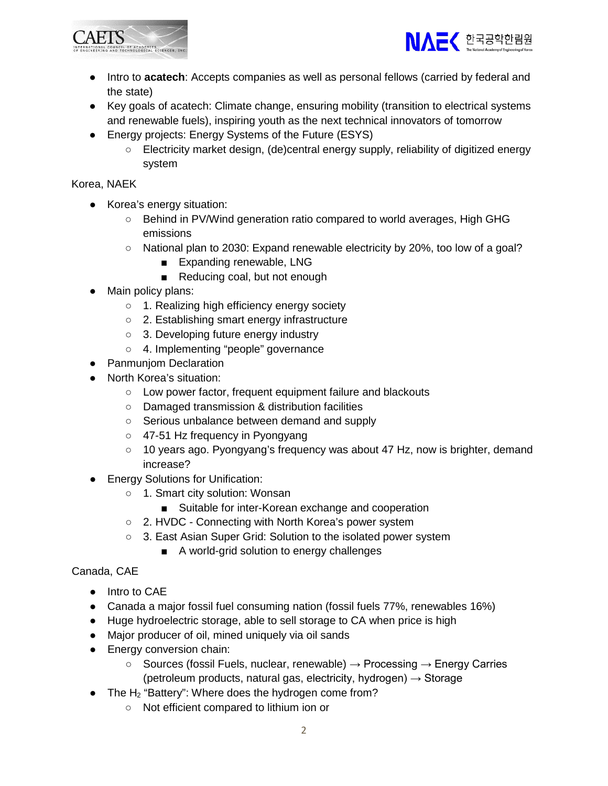



- Intro to **acatech**: Accepts companies as well as personal fellows (carried by federal and the state)
- Key goals of acatech: Climate change, ensuring mobility (transition to electrical systems and renewable fuels), inspiring youth as the next technical innovators of tomorrow
- Energy projects: Energy Systems of the Future (ESYS)
	- Electricity market design, (de)central energy supply, reliability of digitized energy system

#### Korea, NAEK

- Korea's energy situation:
	- Behind in PV/Wind generation ratio compared to world averages, High GHG emissions
	- National plan to 2030: Expand renewable electricity by 20%, too low of a goal?
		- Expanding renewable, LNG
		- Reducing coal, but not enough
- Main policy plans:
	- 1. Realizing high efficiency energy society
	- 2. Establishing smart energy infrastructure
	- 3. Developing future energy industry
	- 4. Implementing "people" governance
- Panmunjom Declaration
- North Korea's situation:
	- Low power factor, frequent equipment failure and blackouts
	- Damaged transmission & distribution facilities
	- Serious unbalance between demand and supply
	- 47-51 Hz frequency in Pyongyang
	- 10 years ago. Pyongyang's frequency was about 47 Hz, now is brighter, demand increase?
- Energy Solutions for Unification:
	- 1. Smart city solution: Wonsan
		- Suitable for inter-Korean exchange and cooperation
	- 2. HVDC Connecting with North Korea's power system
	- 3. East Asian Super Grid: Solution to the isolated power system
		- A world-grid solution to energy challenges

#### Canada, CAE

- Intro to CAE
- Canada a major fossil fuel consuming nation (fossil fuels 77%, renewables 16%)
- Huge hydroelectric storage, able to sell storage to CA when price is high
- Major producer of oil, mined uniquely via oil sands
- Energy conversion chain:
	- Sources (fossil Fuels, nuclear, renewable)  $\rightarrow$  Processing  $\rightarrow$  Energy Carries (petroleum products, natural gas, electricity, hydrogen)  $\rightarrow$  Storage
- The H<sub>2</sub> "Battery": Where does the hydrogen come from?
	- Not efficient compared to lithium ion or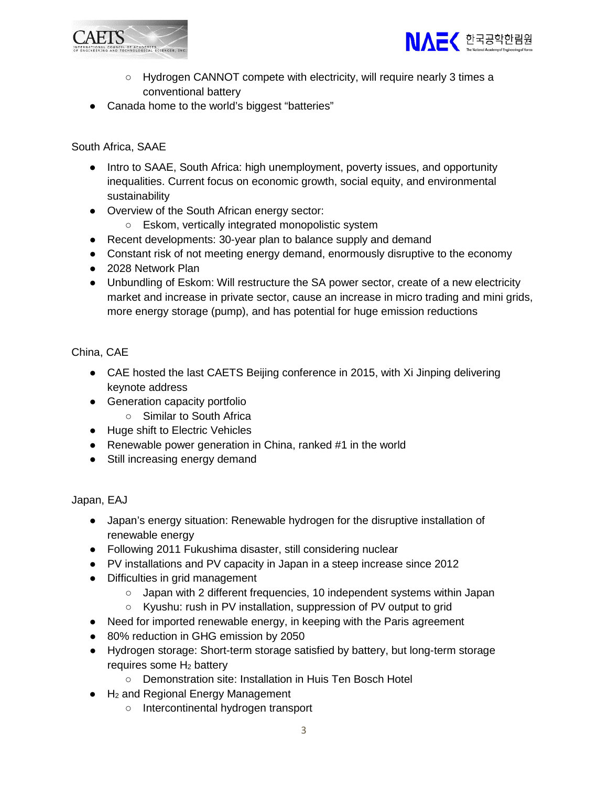



- Hydrogen CANNOT compete with electricity, will require nearly 3 times a conventional battery
- Canada home to the world's biggest "batteries"

#### South Africa, SAAE

- Intro to SAAE, South Africa: high unemployment, poverty issues, and opportunity inequalities. Current focus on economic growth, social equity, and environmental sustainability
- Overview of the South African energy sector:
	- Eskom, vertically integrated monopolistic system
- Recent developments: 30-year plan to balance supply and demand
- Constant risk of not meeting energy demand, enormously disruptive to the economy
- 2028 Network Plan
- Unbundling of Eskom: Will restructure the SA power sector, create of a new electricity market and increase in private sector, cause an increase in micro trading and mini grids, more energy storage (pump), and has potential for huge emission reductions

#### China, CAE

- CAE hosted the last CAETS Beijing conference in 2015, with Xi Jinping delivering keynote address
- Generation capacity portfolio
	- Similar to South Africa
- Huge shift to Electric Vehicles
- Renewable power generation in China, ranked #1 in the world
- Still increasing energy demand

Japan, EAJ

- Japan's energy situation: Renewable hydrogen for the disruptive installation of renewable energy
- Following 2011 Fukushima disaster, still considering nuclear
- PV installations and PV capacity in Japan in a steep increase since 2012
- Difficulties in grid management
	- Japan with 2 different frequencies, 10 independent systems within Japan
	- Kyushu: rush in PV installation, suppression of PV output to grid
- Need for imported renewable energy, in keeping with the Paris agreement
- 80% reduction in GHG emission by 2050
- Hydrogen storage: Short-term storage satisfied by battery, but long-term storage requires some  $H_2$  battery
	- Demonstration site: Installation in Huis Ten Bosch Hotel
- $\bullet$  H<sub>2</sub> and Regional Energy Management
	- Intercontinental hydrogen transport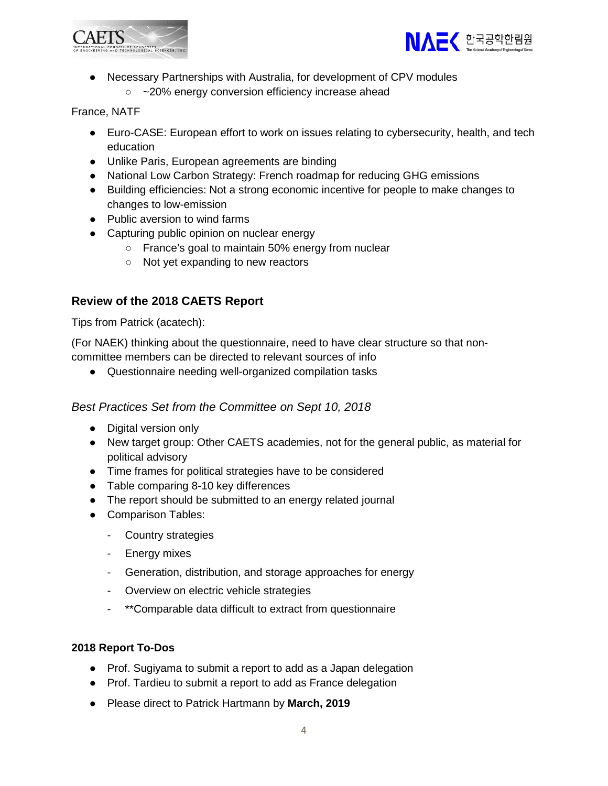



- Necessary Partnerships with Australia, for development of CPV modules
	- ~20% energy conversion efficiency increase ahead

#### France, NATF

- Euro-CASE: European effort to work on issues relating to cybersecurity, health, and tech education
- Unlike Paris, European agreements are binding
- National Low Carbon Strategy: French roadmap for reducing GHG emissions
- Building efficiencies: Not a strong economic incentive for people to make changes to changes to low-emission
- Public aversion to wind farms
- Capturing public opinion on nuclear energy
	- France's goal to maintain 50% energy from nuclear
	- Not yet expanding to new reactors

#### **Review of the 2018 CAETS Report**

Tips from Patrick (acatech):

(For NAEK) thinking about the questionnaire, need to have clear structure so that noncommittee members can be directed to relevant sources of info

● Questionnaire needing well-organized compilation tasks

*Best Practices Set from the Committee on Sept 10, 2018*

- Digital version only
- New target group: Other CAETS academies, not for the general public, as material for political advisory
- Time frames for political strategies have to be considered
- Table comparing 8-10 key differences
- The report should be submitted to an energy related journal
- Comparison Tables:
	- Country strategies
	- Energy mixes
	- Generation, distribution, and storage approaches for energy
	- Overview on electric vehicle strategies
	- \*\*Comparable data difficult to extract from questionnaire

#### **2018 Report To-Dos**

- Prof. Sugiyama to submit a report to add as a Japan delegation
- Prof. Tardieu to submit a report to add as France delegation
- Please direct to Patrick Hartmann by **March, 2019**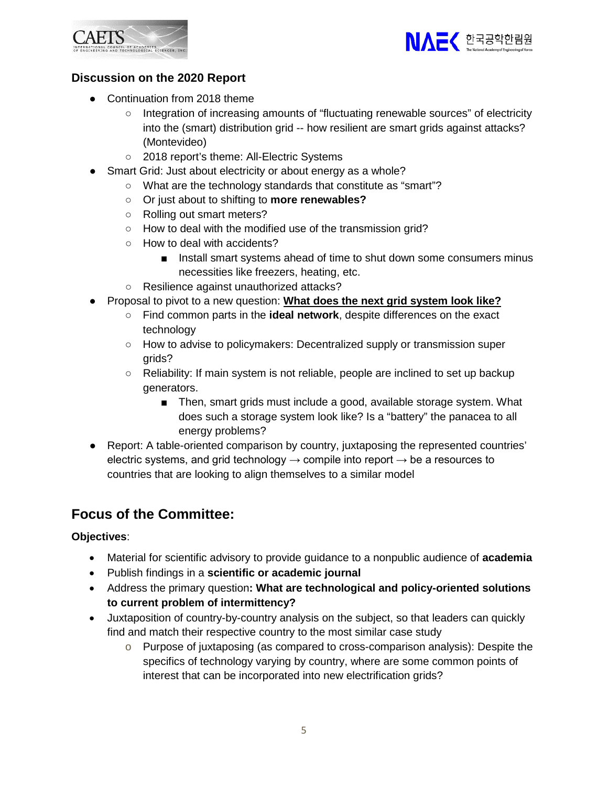



## **Discussion on the 2020 Report**

- Continuation from 2018 theme
	- Integration of increasing amounts of "fluctuating renewable sources" of electricity into the (smart) distribution grid -- how resilient are smart grids against attacks? (Montevideo)
	- 2018 report's theme: All-Electric Systems
- Smart Grid: Just about electricity or about energy as a whole?
	- What are the technology standards that constitute as "smart"?
	- Or just about to shifting to **more renewables?**
	- Rolling out smart meters?
	- How to deal with the modified use of the transmission grid?
	- How to deal with accidents?
		- Install smart systems ahead of time to shut down some consumers minus necessities like freezers, heating, etc.
	- Resilience against unauthorized attacks?
- Proposal to pivot to a new question: **What does the next grid system look like?**
	- Find common parts in the **ideal network**, despite differences on the exact technology
	- How to advise to policymakers: Decentralized supply or transmission super grids?
	- Reliability: If main system is not reliable, people are inclined to set up backup generators.
		- Then, smart grids must include a good, available storage system. What does such a storage system look like? Is a "battery" the panacea to all energy problems?
- Report: A table-oriented comparison by country, juxtaposing the represented countries' electric systems, and grid technology  $\rightarrow$  compile into report  $\rightarrow$  be a resources to countries that are looking to align themselves to a similar model

# **Focus of the Committee:**

#### **Objectives**:

- Material for scientific advisory to provide guidance to a nonpublic audience of **academia**
- Publish findings in a **scientific or academic journal**
- Address the primary question**: What are technological and policy-oriented solutions to current problem of intermittency?**
- Juxtaposition of country-by-country analysis on the subject, so that leaders can quickly find and match their respective country to the most similar case study
	- o Purpose of juxtaposing (as compared to cross-comparison analysis): Despite the specifics of technology varying by country, where are some common points of interest that can be incorporated into new electrification grids?